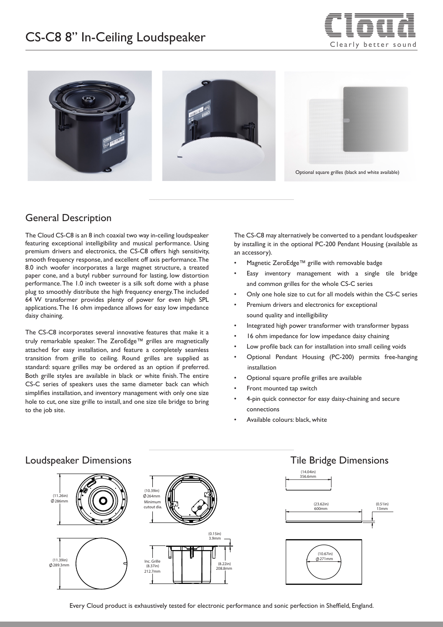# $CS-C8$  8" In-Ceiling Loudspeaker  $\overline{\phantom{C}}$  clearly better sound





#### General Description

The Cloud CS-C8 is an 8 inch coaxial two way in-ceiling loudspeaker featuring exceptional intelligibility and musical performance. Using premium drivers and electronics, the CS-C8 offers high sensitivity, smooth frequency response, and excellent off axis performance. The 8.0 inch woofer incorporates a large magnet structure, a treated paper cone, and a butyl rubber surround for lasting, low distortion performance. The 1.0 inch tweeter is a silk soft dome with a phase plug to smoothly distribute the high frequency energy. The included 64 W transformer provides plenty of power for even high SPL applications. The 16 ohm impedance allows for easy low impedance daisy chaining.

The CS-C8 incorporates several innovative features that make it a truly remarkable speaker. The ZeroEdge™ grilles are magnetically attached for easy installation, and feature a completely seamless transition from grille to ceiling. Round grilles are supplied as standard: square grilles may be ordered as an option if preferred. Both grille styles are available in black or white finish. The entire CS-C series of speakers uses the same diameter back can which simplifies installation, and inventory management with only one size hole to cut, one size grille to install, and one size tile bridge to bring to the job site.

The CS-C8 may alternatively be converted to a pendant loudspeaker by installing it in the optional PC-200 Pendant Housing (available as an accessory).

- Magnetic ZeroEdge™ grille with removable badge
- Easy inventory management with a single tile bridge and common grilles for the whole CS-C series
- Only one hole size to cut for all models within the CS-C series
- Premium drivers and electronics for exceptional sound quality and intelligibility
- Integrated high power transformer with transformer bypass
- 16 ohm impedance for low impedance daisy chaining
- Low profile back can for installation into small ceiling voids
- Optional Pendant Housing (PC-200) permits free-hanging installation
- Optional square profile grilles are available
- Front mounted tap switch
- 4-pin quick connector for easy daisy-chaining and secure connections
- Available colours: black, white



#### Loudspeaker Dimensions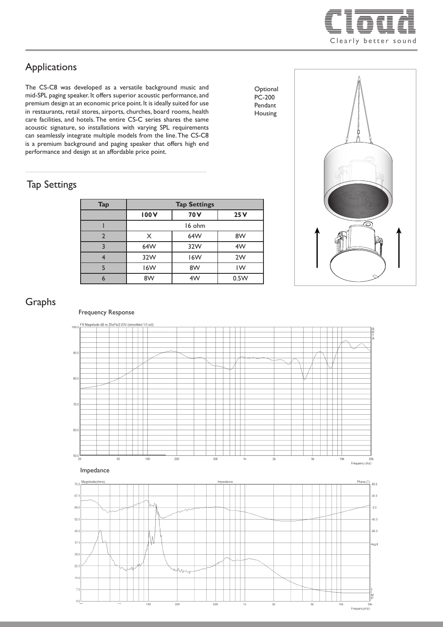

## Applications

The CS-C8 was developed as a versatile background music and mid-SPL paging speaker. It offers superior acoustic performance, and premium design at an economic price point. It is ideally suited for use in restaurants, retail stores, airports, churches, board rooms, health care facilities, and hotels. The entire CS-C series shares the same acoustic signature, so installations with varying SPL requirements can seamlessly integrate multiple models from the line. The CS-C8 is a premium background and paging speaker that offers high end performance and design at an affordable price point.

#### Tap Settings

| <b>Tap</b> | <b>Tap Settings</b> |      |      |
|------------|---------------------|------|------|
|            | 100V                | 70 V | 25V  |
|            | 16 ohm              |      |      |
|            | X                   | 64W  | 8W   |
|            | 64W                 | 32W  | 4W   |
|            | 32W                 | 16W  | 2W   |
|            | 16W                 | 8W   | IW   |
|            | 8W                  | 4W   | 0.5W |



**Optional** PC-200 Pendant Housing

### Graphs